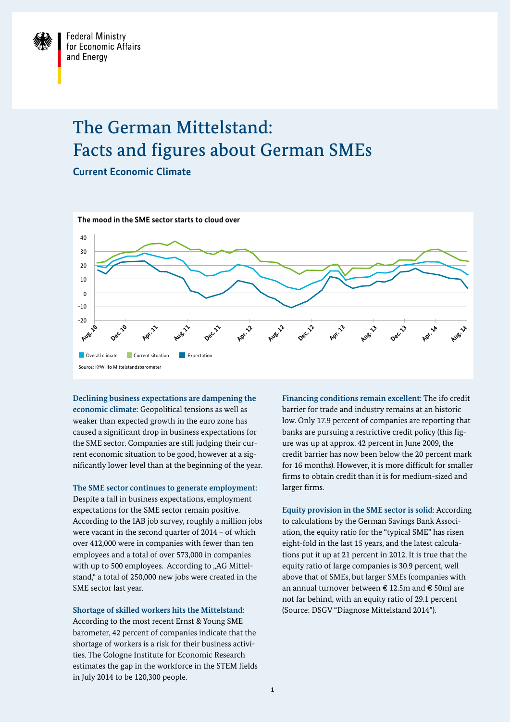## The German Mittelstand: Facts and figures about German SMEs

**Current Economic Climate** 



**Declining business expectations are dampening the economic climate:** Geopolitical tensions as well as weaker than expected growth in the euro zone has caused a significant drop in business expectations for the SME sector. Companies are still judging their current economic situation to be good, however at a significantly lower level than at the beginning of the year.

**The SME sector continues to generate employment:** Despite a fall in business expectations, employment expectations for the SME sector remain positive. According to the IAB job survey, roughly a million jobs were vacant in the second quarter of 2014 – of which over 412,000 were in companies with fewer than ten employees and a total of over 573,000 in companies with up to 500 employees. According to "AG Mittelstand," a total of 250,000 new jobs were created in the SME sector last year.

**Shortage of skilled workers hits the Mittelstand:** According to the most recent Ernst & Young SME barometer, 42 percent of companies indicate that the shortage of workers is a risk for their business activities. The Cologne Institute for Economic Research estimates the gap in the workforce in the STEM fields in July 2014 to be 120,300 people.

**Financing conditions remain excellent:** The ifo credit barrier for trade and industry remains at an historic low. Only 17.9 percent of companies are reporting that banks are pursuing a restrictive credit policy (this figure was up at approx. 42 percent in June 2009, the credit barrier has now been below the 20 percent mark for 16 months). However, it is more difficult for smaller firms to obtain credit than it is for medium-sized and larger firms.

**Equity provision in the SME sector is solid:** According to calculations by the German Savings Bank Association, the equity ratio for the "typical SME" has risen eight-fold in the last 15 years, and the latest calculations put it up at 21 percent in 2012. It is true that the equity ratio of large companies is 30.9 percent, well above that of SMEs, but larger SMEs (companies with an annual turnover between € 12.5m and € 50m) are not far behind, with an equity ratio of 29.1 percent (Source: DSGV "Diagnose Mittelstand 2014").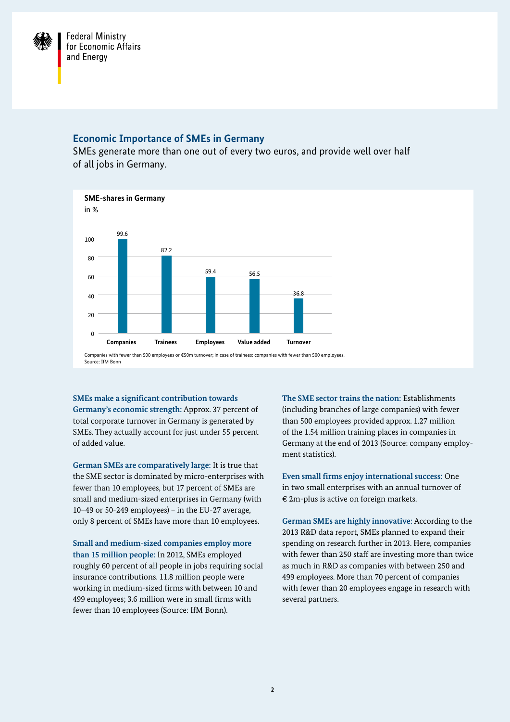

## **Economic Importance of SMEs in Germany**

SMEs generate more than one out of every two euros, and provide well over half of all jobs in Germany.



**SMEs make a significant contribution towards Germany's economic strength:** Approx. 37 percent of total corporate turnover in Germany is generated by SMEs. They actually account for just under 55 percent of added value.

**German SMEs are comparatively large:** It is true that the SME sector is dominated by micro-enterprises with fewer than 10 employees, but 17 percent of SMEs are small and medium-sized enterprises in Germany (with 10–49 or 50-249 employees) – in the EU-27 average, only 8 percent of SMEs have more than 10 employees.

**Small and medium-sized companies employ more than 15 million people:** In 2012, SMEs employed roughly 60 percent of all people in jobs requiring social insurance contributions. 11.8 million people were working in medium-sized firms with between 10 and 499 employees; 3.6 million were in small firms with fewer than 10 employees (Source: IfM Bonn).

**The SME sector trains the nation:** Establishments (including branches of large companies) with fewer than 500 employees provided approx. 1.27 million of the 1.54 million training places in companies in Germany at the end of 2013 (Source: company employment statistics).

**Even small firms enjoy international success:** One in two small enterprises with an annual turnover of € 2m-plus is active on foreign markets.

**German SMEs are highly innovative:** According to the 2013 R&D data report, SMEs planned to expand their spending on research further in 2013. Here, companies with fewer than 250 staff are investing more than twice as much in R&D as companies with between 250 and 499 employees. More than 70 percent of companies with fewer than 20 employees engage in research with several partners.